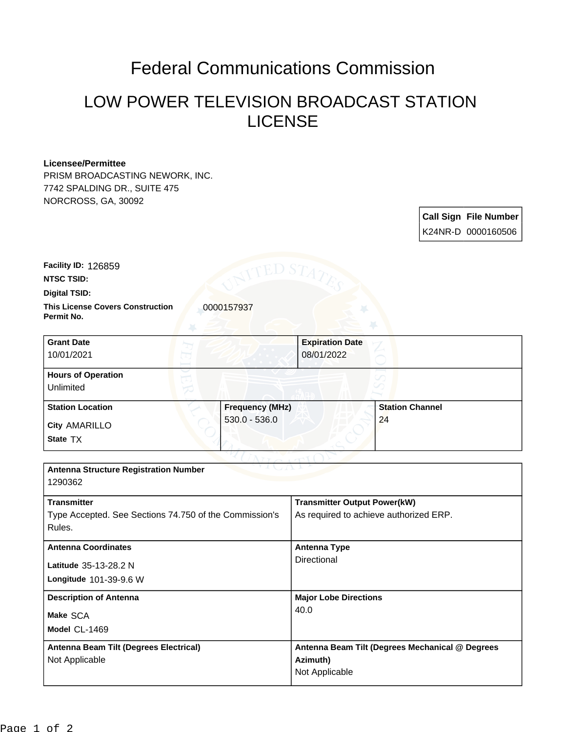## Federal Communications Commission

## LOW POWER TELEVISION BROADCAST STATION LICENSE

## **Licensee/Permittee**

PRISM BROADCASTING NEWORK, INC. 7742 SPALDING DR., SUITE 475 NORCROSS, GA, 30092

> **Call Sign File Number** K24NR-D 0000160506

**NTSC TSID: Facility ID:** 126859

**Permit No.**

**Digital TSID:**

**This License Covers Construction**  0000157937

| <b>Grant Date</b><br>10/01/2021        |                 | <b>Expiration Date</b><br>08/01/2022 |                        |
|----------------------------------------|-----------------|--------------------------------------|------------------------|
| <b>Hours of Operation</b><br>Unlimited |                 |                                      |                        |
| <b>Station Location</b>                |                 | <b>Frequency (MHz)</b>               | <b>Station Channel</b> |
| <b>City AMARILLO</b><br>State TX       | $530.0 - 536.0$ |                                      | 24                     |

| <b>Antenna Structure Registration Number</b><br>1290362 |                                                 |
|---------------------------------------------------------|-------------------------------------------------|
|                                                         |                                                 |
| <b>Transmitter</b>                                      | <b>Transmitter Output Power(kW)</b>             |
| Type Accepted. See Sections 74.750 of the Commission's  | As required to achieve authorized ERP.          |
| Rules.                                                  |                                                 |
| <b>Antenna Coordinates</b>                              | <b>Antenna Type</b>                             |
| Latitude 35-13-28.2 N                                   | Directional                                     |
| Longitude 101-39-9.6 W                                  |                                                 |
| <b>Description of Antenna</b>                           | <b>Major Lobe Directions</b>                    |
| Make SCA                                                | 40.0                                            |
| Model CL-1469                                           |                                                 |
| Antenna Beam Tilt (Degrees Electrical)                  | Antenna Beam Tilt (Degrees Mechanical @ Degrees |
| Not Applicable                                          | Azimuth)                                        |
|                                                         | Not Applicable                                  |